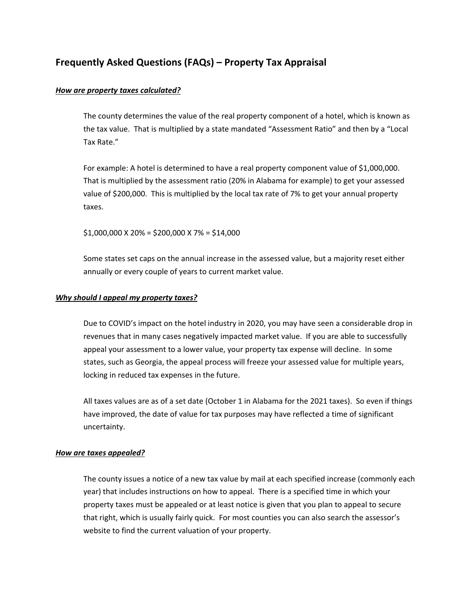# **Frequently Asked Questions (FAQs) – Property Tax Appraisal**

### *How are property taxes calculated?*

The county determines the value of the real property component of a hotel, which is known as the tax value. That is multiplied by a state mandated "Assessment Ratio" and then by a "Local Tax Rate."

For example: A hotel is determined to have a real property component value of \$1,000,000. That is multiplied by the assessment ratio (20% in Alabama for example) to get your assessed value of \$200,000. This is multiplied by the local tax rate of 7% to get your annual property taxes.

 $$1,000,000 \times 20\% = $200,000 \times 7\% = $14,000$ 

Some states set caps on the annual increase in the assessed value, but a majority reset either annually or every couple of years to current market value.

### *Why should I appeal my property taxes?*

Due to COVID's impact on the hotel industry in 2020, you may have seen a considerable drop in revenues that in many cases negatively impacted market value. If you are able to successfully appeal your assessment to a lower value, your property tax expense will decline. In some states, such as Georgia, the appeal process will freeze your assessed value for multiple years, locking in reduced tax expenses in the future.

All taxes values are as of a set date (October 1 in Alabama for the 2021 taxes). So even if things have improved, the date of value for tax purposes may have reflected a time of significant uncertainty.

#### *How are taxes appealed?*

The county issues a notice of a new tax value by mail at each specified increase (commonly each year) that includes instructions on how to appeal. There is a specified time in which your property taxes must be appealed or at least notice is given that you plan to appeal to secure that right, which is usually fairly quick. For most counties you can also search the assessor's website to find the current valuation of your property.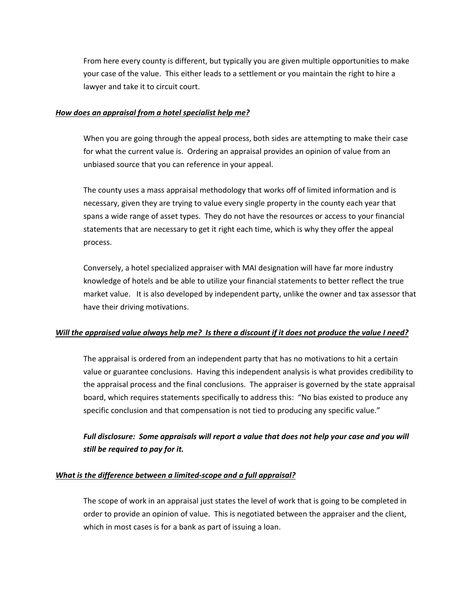From here every county is different, but typically you are given multiple opportunities to make your case of the value. This either leads to a settlement or you maintain the right to hire a lawyer and take it to circuit court.

### *How does an appraisal from a hotel specialist help me?*

When you are going through the appeal process, both sides are attempting to make their case for what the current value is. Ordering an appraisal provides an opinion of value from an unbiased source that you can reference in your appeal.

The county uses a mass appraisal methodology that works off of limited information and is necessary, given they are trying to value every single property in the county each year that spans a wide range of asset types. They do not have the resources or access to your financial statements that are necessary to get it right each time, which is why they offer the appeal process.

Conversely, a hotel specialized appraiser with MAI designation will have far more industry knowledge of hotels and be able to utilize your financial statements to better reflect the true market value. It is also developed by independent party, unlike the owner and tax assessor that have their driving motivations.

## Will the appraised value always help me? Is there a discount if it does not produce the value I need?

The appraisal is ordered from an independent party that has no motivations to hit a certain value or guarantee conclusions. Having this independent analysis is what provides credibility to the appraisal process and the final conclusions. The appraiser is governed by the state appraisal board, which requires statements specifically to address this: "No bias existed to produce any specific conclusion and that compensation is not tied to producing any specific value."

## *Full disclosure: Some appraisals will report a value that does not help your case and you will still be required to pay for it.*

## *What is the difference between a limited‐scope and a full appraisal?*

The scope of work in an appraisal just states the level of work that is going to be completed in order to provide an opinion of value. This is negotiated between the appraiser and the client, which in most cases is for a bank as part of issuing a loan.